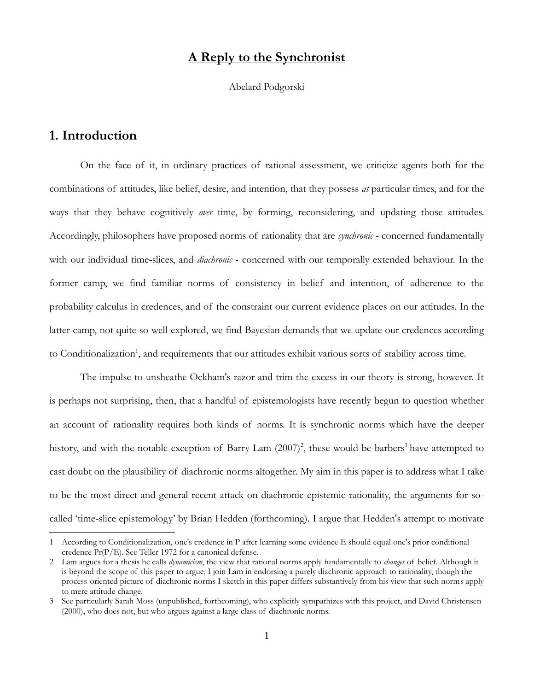### **A Reply to the Synchronist**

Abelard Podgorski

# **1. Introduction**

 $\overline{a}$ 

On the face of it, in ordinary practices of rational assessment, we criticize agents both for the combinations of attitudes, like belief, desire, and intention, that they possess *at* particular times, and for the ways that they behave cognitively *over* time, by forming, reconsidering, and updating those attitudes. Accordingly, philosophers have proposed norms of rationality that are *synchronic* - concerned fundamentally with our individual time-slices, and *diachronic* - concerned with our temporally extended behaviour. In the former camp, we find familiar norms of consistency in belief and intention, of adherence to the probability calculus in credences, and of the constraint our current evidence places on our attitudes. In the latter camp, not quite so well-explored, we find Bayesian demands that we update our credences according to Conditionalization<sup>1</sup>, and requirements that our attitudes exhibit various sorts of stability across time.

The impulse to unsheathe Ockham's razor and trim the excess in our theory is strong, however. It is perhaps not surprising, then, that a handful of epistemologists have recently begun to question whether an account of rationality requires both kinds of norms. It is synchronic norms which have the deeper history, and with the notable exception of Barry Lam  $(2007)^2$ , these would-be-barbers<sup>3</sup> have attempted to cast doubt on the plausibility of diachronic norms altogether. My aim in this paper is to address what I take to be the most direct and general recent attack on diachronic epistemic rationality, the arguments for socalled 'time-slice epistemology' by Brian Hedden (forthcoming). I argue that Hedden's attempt to motivate

<sup>1</sup> According to Conditionalization, one's credence in P after learning some evidence E should equal one's prior conditional credence Pr(P/E). See Teller 1972 for a canonical defense.

<sup>2</sup> Lam argues for a thesis he calls *dynamicism*, the view that rational norms apply fundamentally to *changes* of belief. Although it is beyond the scope of this paper to argue, I join Lam in endorsing a purely diachronic approach to rationality, though the process-oriented picture of diachronic norms I sketch in this paper differs substantively from his view that such norms apply to mere attitude change.

<sup>3</sup> See particularly Sarah Moss (unpublished, forthcoming), who explicitly sympathizes with this project, and David Christensen (2000), who does not, but who argues against a large class of diachronic norms.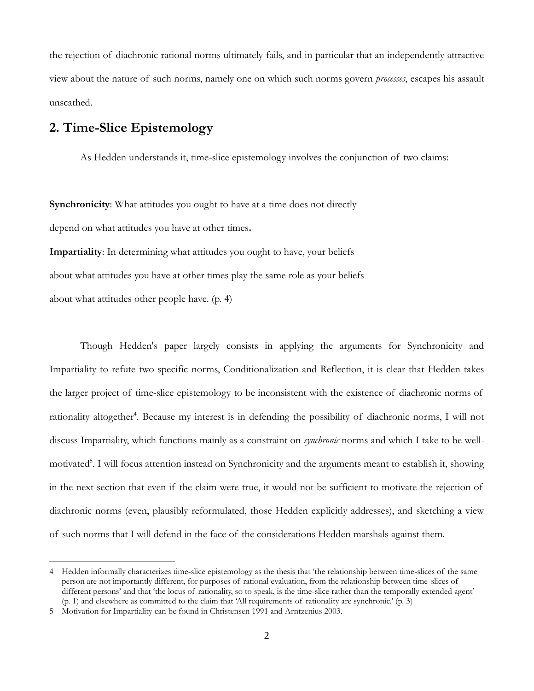the rejection of diachronic rational norms ultimately fails, and in particular that an independently attractive view about the nature of such norms, namely one on which such norms govern *processes*, escapes his assault unscathed.

# **2. Time-Slice Epistemology**

As Hedden understands it, time-slice epistemology involves the conjunction of two claims:

**Synchronicity:** What attitudes you ought to have at a time does not directly depend on what attitudes you have at other times**.**

**Impartiality**: In determining what attitudes you ought to have, your beliefs about what attitudes you have at other times play the same role as your beliefs about what attitudes other people have. (p. 4)

Though Hedden's paper largely consists in applying the arguments for Synchronicity and Impartiality to refute two specific norms, Conditionalization and Reflection, it is clear that Hedden takes the larger project of time-slice epistemology to be inconsistent with the existence of diachronic norms of rationality altogether<sup>4</sup>. Because my interest is in defending the possibility of diachronic norms, I will not discuss Impartiality, which functions mainly as a constraint on *synchronic* norms and which I take to be wellmotivated<sup>5</sup>. I will focus attention instead on Synchronicity and the arguments meant to establish it, showing in the next section that even if the claim were true, it would not be sufficient to motivate the rejection of diachronic norms (even, plausibly reformulated, those Hedden explicitly addresses), and sketching a view of such norms that I will defend in the face of the considerations Hedden marshals against them.

 $\overline{a}$ 

<sup>4</sup> Hedden informally characterizes time-slice epistemology as the thesis that 'the relationship between time-slices of the same person are not importantly different, for purposes of rational evaluation, from the relationship between time-slices of different persons' and that 'the locus of rationality, so to speak, is the time-slice rather than the temporally extended agent' (p. 1) and elsewhere as committed to the claim that 'All requirements of rationality are synchronic.' (p. 3)

<sup>5</sup> Motivation for Impartiality can be found in Christensen 1991 and Arntzenius 2003.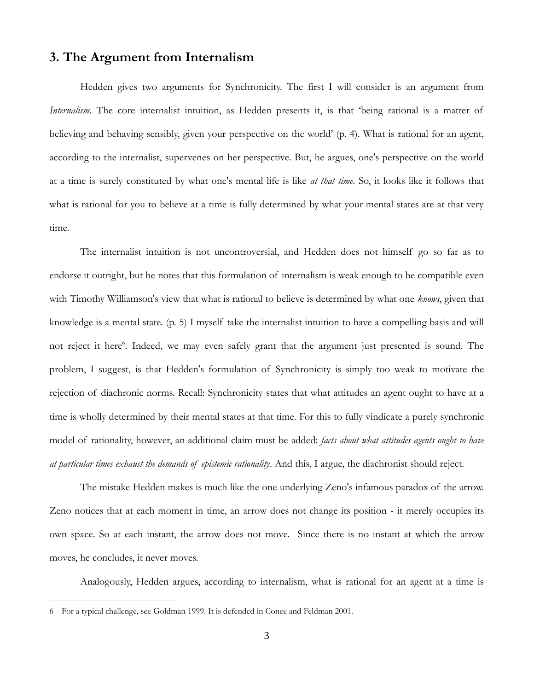### **3. The Argument from Internalism**

Hedden gives two arguments for Synchronicity. The first I will consider is an argument from *Internalism*. The core internalist intuition, as Hedden presents it, is that 'being rational is a matter of believing and behaving sensibly, given your perspective on the world' (p. 4). What is rational for an agent, according to the internalist, supervenes on her perspective. But, he argues, one's perspective on the world at a time is surely constituted by what one's mental life is like *at that time*. So, it looks like it follows that what is rational for you to believe at a time is fully determined by what your mental states are at that very time.

The internalist intuition is not uncontroversial, and Hedden does not himself go so far as to endorse it outright, but he notes that this formulation of internalism is weak enough to be compatible even with Timothy Williamson's view that what is rational to believe is determined by what one *knows*, given that knowledge is a mental state. (p. 5) I myself take the internalist intuition to have a compelling basis and will not reject it here<sup>6</sup>. Indeed, we may even safely grant that the argument just presented is sound. The problem, I suggest, is that Hedden's formulation of Synchronicity is simply too weak to motivate the rejection of diachronic norms. Recall: Synchronicity states that what attitudes an agent ought to have at a time is wholly determined by their mental states at that time. For this to fully vindicate a purely synchronic model of rationality, however, an additional claim must be added: *facts about what attitudes agents ought to have at particular times exhaust the demands of epistemic rationality*. And this, I argue, the diachronist should reject.

The mistake Hedden makes is much like the one underlying Zeno's infamous paradox of the arrow. Zeno notices that at each moment in time, an arrow does not change its position - it merely occupies its own space. So at each instant, the arrow does not move. Since there is no instant at which the arrow moves, he concludes, it never moves.

Analogously, Hedden argues, according to internalism, what is rational for an agent at a time is

 $\overline{a}$ 

<sup>6</sup> For a typical challenge, see Goldman 1999. It is defended in Conee and Feldman 2001.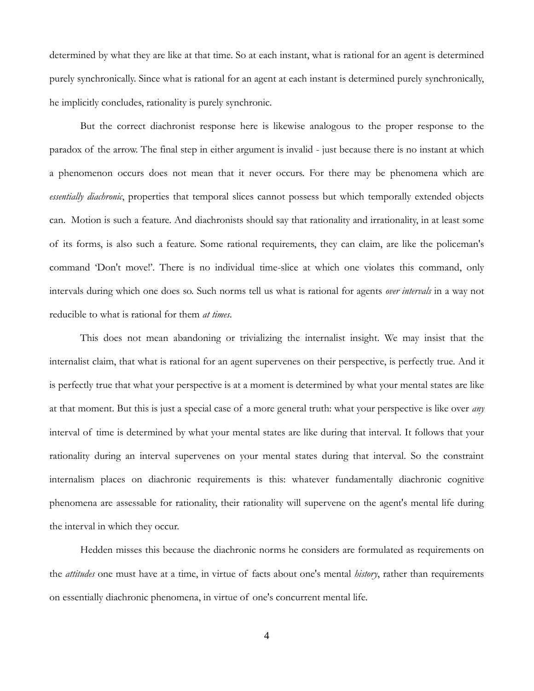determined by what they are like at that time. So at each instant, what is rational for an agent is determined purely synchronically. Since what is rational for an agent at each instant is determined purely synchronically, he implicitly concludes, rationality is purely synchronic.

But the correct diachronist response here is likewise analogous to the proper response to the paradox of the arrow. The final step in either argument is invalid - just because there is no instant at which a phenomenon occurs does not mean that it never occurs. For there may be phenomena which are *essentially diachronic*, properties that temporal slices cannot possess but which temporally extended objects can. Motion is such a feature. And diachronists should say that rationality and irrationality, in at least some of its forms, is also such a feature. Some rational requirements, they can claim, are like the policeman's command 'Don't move!'. There is no individual time-slice at which one violates this command, only intervals during which one does so. Such norms tell us what is rational for agents *over intervals* in a way not reducible to what is rational for them *at times*.

This does not mean abandoning or trivializing the internalist insight. We may insist that the internalist claim, that what is rational for an agent supervenes on their perspective, is perfectly true. And it is perfectly true that what your perspective is at a moment is determined by what your mental states are like at that moment. But this is just a special case of a more general truth: what your perspective is like over *any* interval of time is determined by what your mental states are like during that interval. It follows that your rationality during an interval supervenes on your mental states during that interval. So the constraint internalism places on diachronic requirements is this: whatever fundamentally diachronic cognitive phenomena are assessable for rationality, their rationality will supervene on the agent's mental life during the interval in which they occur.

Hedden misses this because the diachronic norms he considers are formulated as requirements on the *attitudes* one must have at a time, in virtue of facts about one's mental *history*, rather than requirements on essentially diachronic phenomena, in virtue of one's concurrent mental life.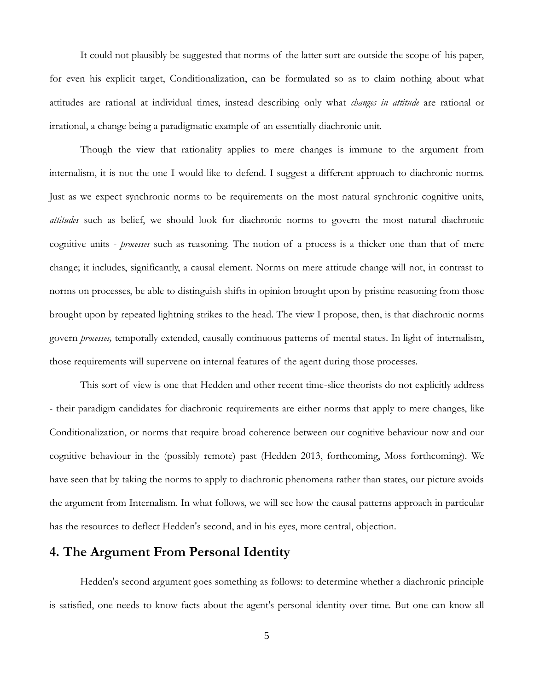It could not plausibly be suggested that norms of the latter sort are outside the scope of his paper, for even his explicit target, Conditionalization, can be formulated so as to claim nothing about what attitudes are rational at individual times, instead describing only what *changes in attitude* are rational or irrational, a change being a paradigmatic example of an essentially diachronic unit.

Though the view that rationality applies to mere changes is immune to the argument from internalism, it is not the one I would like to defend. I suggest a different approach to diachronic norms. Just as we expect synchronic norms to be requirements on the most natural synchronic cognitive units, *attitudes* such as belief, we should look for diachronic norms to govern the most natural diachronic cognitive units - *processes* such as reasoning. The notion of a process is a thicker one than that of mere change; it includes, significantly, a causal element. Norms on mere attitude change will not, in contrast to norms on processes, be able to distinguish shifts in opinion brought upon by pristine reasoning from those brought upon by repeated lightning strikes to the head. The view I propose, then, is that diachronic norms govern *processes,* temporally extended, causally continuous patterns of mental states*.* In light of internalism, those requirements will supervene on internal features of the agent during those processes.

This sort of view is one that Hedden and other recent time-slice theorists do not explicitly address - their paradigm candidates for diachronic requirements are either norms that apply to mere changes, like Conditionalization, or norms that require broad coherence between our cognitive behaviour now and our cognitive behaviour in the (possibly remote) past (Hedden 2013, forthcoming, Moss forthcoming). We have seen that by taking the norms to apply to diachronic phenomena rather than states, our picture avoids the argument from Internalism. In what follows, we will see how the causal patterns approach in particular has the resources to deflect Hedden's second, and in his eyes, more central, objection.

## **4. The Argument From Personal Identity**

Hedden's second argument goes something as follows: to determine whether a diachronic principle is satisfied, one needs to know facts about the agent's personal identity over time. But one can know all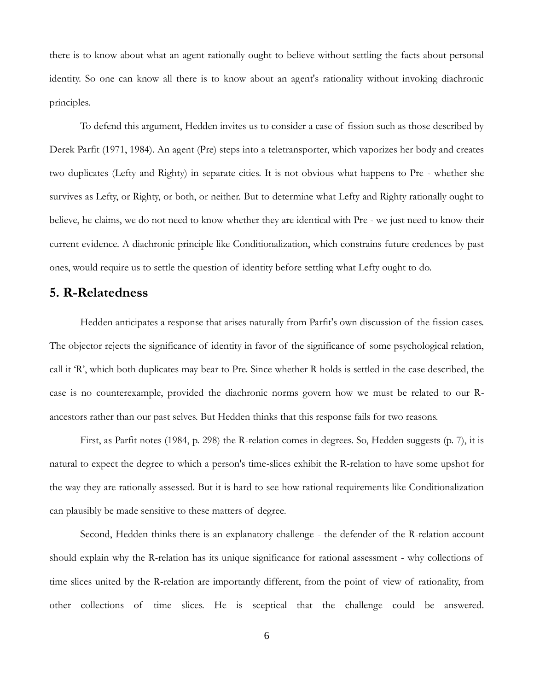there is to know about what an agent rationally ought to believe without settling the facts about personal identity. So one can know all there is to know about an agent's rationality without invoking diachronic principles.

To defend this argument, Hedden invites us to consider a case of fission such as those described by Derek Parfit (1971, 1984). An agent (Pre) steps into a teletransporter, which vaporizes her body and creates two duplicates (Lefty and Righty) in separate cities. It is not obvious what happens to Pre - whether she survives as Lefty, or Righty, or both, or neither. But to determine what Lefty and Righty rationally ought to believe, he claims, we do not need to know whether they are identical with Pre - we just need to know their current evidence. A diachronic principle like Conditionalization, which constrains future credences by past ones, would require us to settle the question of identity before settling what Lefty ought to do.

#### **5. R-Relatedness**

Hedden anticipates a response that arises naturally from Parfit's own discussion of the fission cases. The objector rejects the significance of identity in favor of the significance of some psychological relation, call it 'R', which both duplicates may bear to Pre. Since whether R holds is settled in the case described, the case is no counterexample, provided the diachronic norms govern how we must be related to our Rancestors rather than our past selves. But Hedden thinks that this response fails for two reasons.

First, as Parfit notes (1984, p. 298) the R-relation comes in degrees. So, Hedden suggests (p. 7), it is natural to expect the degree to which a person's time-slices exhibit the R-relation to have some upshot for the way they are rationally assessed. But it is hard to see how rational requirements like Conditionalization can plausibly be made sensitive to these matters of degree.

Second, Hedden thinks there is an explanatory challenge - the defender of the R-relation account should explain why the R-relation has its unique significance for rational assessment - why collections of time slices united by the R-relation are importantly different, from the point of view of rationality, from other collections of time slices. He is sceptical that the challenge could be answered.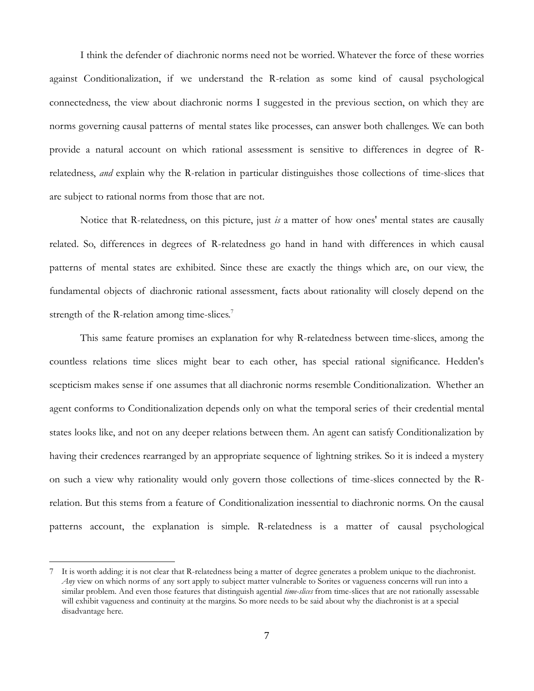I think the defender of diachronic norms need not be worried. Whatever the force of these worries against Conditionalization, if we understand the R-relation as some kind of causal psychological connectedness, the view about diachronic norms I suggested in the previous section, on which they are norms governing causal patterns of mental states like processes, can answer both challenges. We can both provide a natural account on which rational assessment is sensitive to differences in degree of Rrelatedness, *and* explain why the R-relation in particular distinguishes those collections of time-slices that are subject to rational norms from those that are not.

Notice that R-relatedness, on this picture, just *is* a matter of how ones' mental states are causally related. So, differences in degrees of R-relatedness go hand in hand with differences in which causal patterns of mental states are exhibited. Since these are exactly the things which are, on our view, the fundamental objects of diachronic rational assessment, facts about rationality will closely depend on the strength of the R-relation among time-slices.<sup>7</sup>

This same feature promises an explanation for why R-relatedness between time-slices, among the countless relations time slices might bear to each other, has special rational significance. Hedden's scepticism makes sense if one assumes that all diachronic norms resemble Conditionalization. Whether an agent conforms to Conditionalization depends only on what the temporal series of their credential mental states looks like, and not on any deeper relations between them. An agent can satisfy Conditionalization by having their credences rearranged by an appropriate sequence of lightning strikes. So it is indeed a mystery on such a view why rationality would only govern those collections of time-slices connected by the Rrelation. But this stems from a feature of Conditionalization inessential to diachronic norms. On the causal patterns account, the explanation is simple. R-relatedness is a matter of causal psychological

 $\overline{a}$ 

<sup>7</sup> It is worth adding: it is not clear that R-relatedness being a matter of degree generates a problem unique to the diachronist. *Any* view on which norms of any sort apply to subject matter vulnerable to Sorites or vagueness concerns will run into a similar problem. And even those features that distinguish agential *time-slices* from time-slices that are not rationally assessable will exhibit vagueness and continuity at the margins. So more needs to be said about why the diachronist is at a special disadvantage here.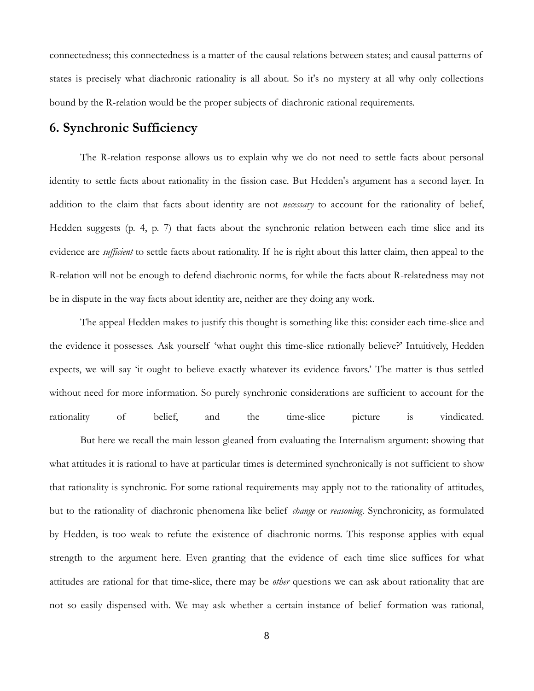connectedness; this connectedness is a matter of the causal relations between states; and causal patterns of states is precisely what diachronic rationality is all about. So it's no mystery at all why only collections bound by the R-relation would be the proper subjects of diachronic rational requirements.

#### **6. Synchronic Sufficiency**

The R-relation response allows us to explain why we do not need to settle facts about personal identity to settle facts about rationality in the fission case. But Hedden's argument has a second layer. In addition to the claim that facts about identity are not *necessary* to account for the rationality of belief, Hedden suggests (p. 4, p. 7) that facts about the synchronic relation between each time slice and its evidence are *sufficient* to settle facts about rationality. If he is right about this latter claim, then appeal to the R-relation will not be enough to defend diachronic norms, for while the facts about R-relatedness may not be in dispute in the way facts about identity are, neither are they doing any work.

The appeal Hedden makes to justify this thought is something like this: consider each time-slice and the evidence it possesses. Ask yourself 'what ought this time-slice rationally believe?' Intuitively, Hedden expects, we will say 'it ought to believe exactly whatever its evidence favors.' The matter is thus settled without need for more information. So purely synchronic considerations are sufficient to account for the rationality of belief, and the time-slice picture is vindicated.

But here we recall the main lesson gleaned from evaluating the Internalism argument: showing that what attitudes it is rational to have at particular times is determined synchronically is not sufficient to show that rationality is synchronic. For some rational requirements may apply not to the rationality of attitudes, but to the rationality of diachronic phenomena like belief *change* or *reasoning*. Synchronicity, as formulated by Hedden, is too weak to refute the existence of diachronic norms. This response applies with equal strength to the argument here. Even granting that the evidence of each time slice suffices for what attitudes are rational for that time-slice, there may be *other* questions we can ask about rationality that are not so easily dispensed with. We may ask whether a certain instance of belief formation was rational,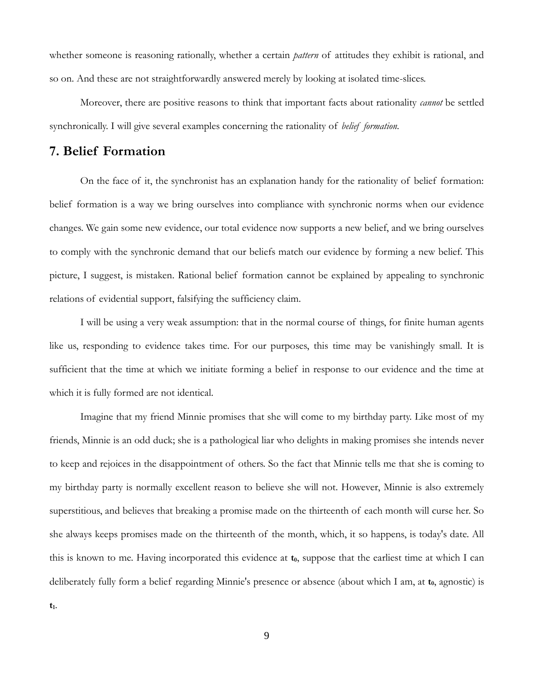whether someone is reasoning rationally, whether a certain *pattern* of attitudes they exhibit is rational, and so on. And these are not straightforwardly answered merely by looking at isolated time-slices.

Moreover, there are positive reasons to think that important facts about rationality *cannot* be settled synchronically. I will give several examples concerning the rationality of *belief formation.*

### **7. Belief Formation**

On the face of it, the synchronist has an explanation handy for the rationality of belief formation: belief formation is a way we bring ourselves into compliance with synchronic norms when our evidence changes. We gain some new evidence, our total evidence now supports a new belief, and we bring ourselves to comply with the synchronic demand that our beliefs match our evidence by forming a new belief. This picture, I suggest, is mistaken. Rational belief formation cannot be explained by appealing to synchronic relations of evidential support, falsifying the sufficiency claim.

I will be using a very weak assumption: that in the normal course of things, for finite human agents like us, responding to evidence takes time. For our purposes, this time may be vanishingly small. It is sufficient that the time at which we initiate forming a belief in response to our evidence and the time at which it is fully formed are not identical.

Imagine that my friend Minnie promises that she will come to my birthday party. Like most of my friends, Minnie is an odd duck; she is a pathological liar who delights in making promises she intends never to keep and rejoices in the disappointment of others. So the fact that Minnie tells me that she is coming to my birthday party is normally excellent reason to believe she will not. However, Minnie is also extremely superstitious, and believes that breaking a promise made on the thirteenth of each month will curse her. So she always keeps promises made on the thirteenth of the month, which, it so happens, is today's date. All this is known to me. Having incorporated this evidence at **t0**, suppose that the earliest time at which I can deliberately fully form a belief regarding Minnie's presence or absence (about which I am, at **t0**, agnostic) is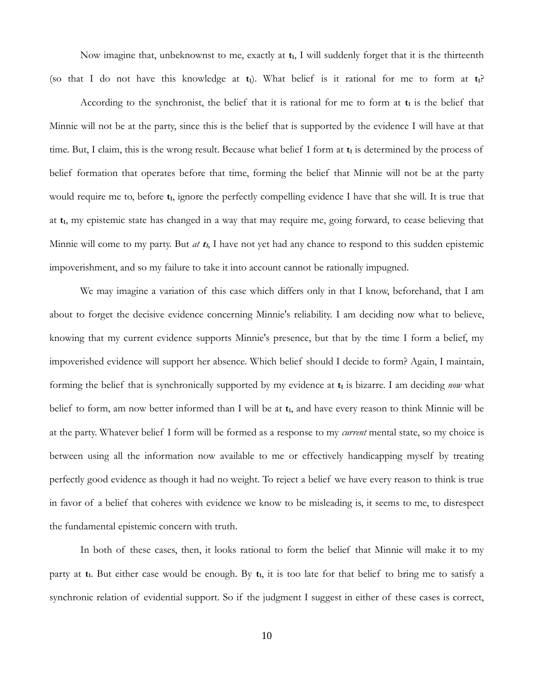Now imagine that, unbeknownst to me, exactly at **t1**, I will suddenly forget that it is the thirteenth (so that I do not have this knowledge at **t1**). What belief is it rational for me to form at **t1**?

According to the synchronist, the belief that it is rational for me to form at **t<sup>1</sup>** is the belief that Minnie will not be at the party, since this is the belief that is supported by the evidence I will have at that time. But, I claim, this is the wrong result. Because what belief I form at **t<sup>1</sup>** is determined by the process of belief formation that operates before that time, forming the belief that Minnie will not be at the party would require me to, before  $t_1$ , ignore the perfectly compelling evidence I have that she will. It is true that at **t1**, my epistemic state has changed in a way that may require me, going forward, to cease believing that Minnie will come to my party. But *at* **<sup>t</sup>1**, I have not yet had any chance to respond to this sudden epistemic impoverishment, and so my failure to take it into account cannot be rationally impugned.

We may imagine a variation of this case which differs only in that I know, beforehand, that I am about to forget the decisive evidence concerning Minnie's reliability. I am deciding now what to believe, knowing that my current evidence supports Minnie's presence, but that by the time I form a belief, my impoverished evidence will support her absence. Which belief should I decide to form? Again, I maintain, forming the belief that is synchronically supported by my evidence at **t<sup>1</sup>** is bizarre. I am deciding *now* what belief to form, am now better informed than I will be at **t1**, and have every reason to think Minnie will be at the party. Whatever belief I form will be formed as a response to my *current* mental state, so my choice is between using all the information now available to me or effectively handicapping myself by treating perfectly good evidence as though it had no weight. To reject a belief we have every reason to think is true in favor of a belief that coheres with evidence we know to be misleading is, it seems to me, to disrespect the fundamental epistemic concern with truth.

In both of these cases, then, it looks rational to form the belief that Minnie will make it to my party at **t1**. But either case would be enough. By **t1**, it is too late for that belief to bring me to satisfy a synchronic relation of evidential support. So if the judgment I suggest in either of these cases is correct,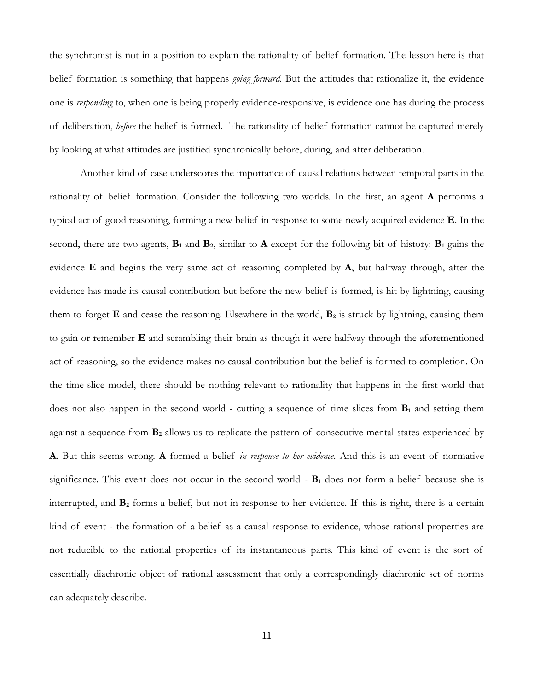the synchronist is not in a position to explain the rationality of belief formation. The lesson here is that belief formation is something that happens *going forward.* But the attitudes that rationalize it, the evidence one is *responding* to, when one is being properly evidence-responsive, is evidence one has during the process of deliberation, *before* the belief is formed. The rationality of belief formation cannot be captured merely by looking at what attitudes are justified synchronically before, during, and after deliberation.

Another kind of case underscores the importance of causal relations between temporal parts in the rationality of belief formation. Consider the following two worlds. In the first, an agent **A** performs a typical act of good reasoning, forming a new belief in response to some newly acquired evidence **E**. In the second, there are two agents,  $\mathbf{B}_1$  and  $\mathbf{B}_2$ , similar to  $\mathbf{A}$  except for the following bit of history:  $\mathbf{B}_1$  gains the evidence **E** and begins the very same act of reasoning completed by **A**, but halfway through, after the evidence has made its causal contribution but before the new belief is formed, is hit by lightning, causing them to forget **E** and cease the reasoning. Elsewhere in the world, **B<sup>2</sup>** is struck by lightning, causing them to gain or remember **E** and scrambling their brain as though it were halfway through the aforementioned act of reasoning, so the evidence makes no causal contribution but the belief is formed to completion. On the time-slice model, there should be nothing relevant to rationality that happens in the first world that does not also happen in the second world - cutting a sequence of time slices from **B<sup>1</sup>** and setting them against a sequence from **B<sup>2</sup>** allows us to replicate the pattern of consecutive mental states experienced by **A**. But this seems wrong. **A** formed a belief *in response to her evidence*. And this is an event of normative significance. This event does not occur in the second world - **B<sup>1</sup>** does not form a belief because she is interrupted, and **B<sup>2</sup>** forms a belief, but not in response to her evidence. If this is right, there is a certain kind of event - the formation of a belief as a causal response to evidence, whose rational properties are not reducible to the rational properties of its instantaneous parts. This kind of event is the sort of essentially diachronic object of rational assessment that only a correspondingly diachronic set of norms can adequately describe.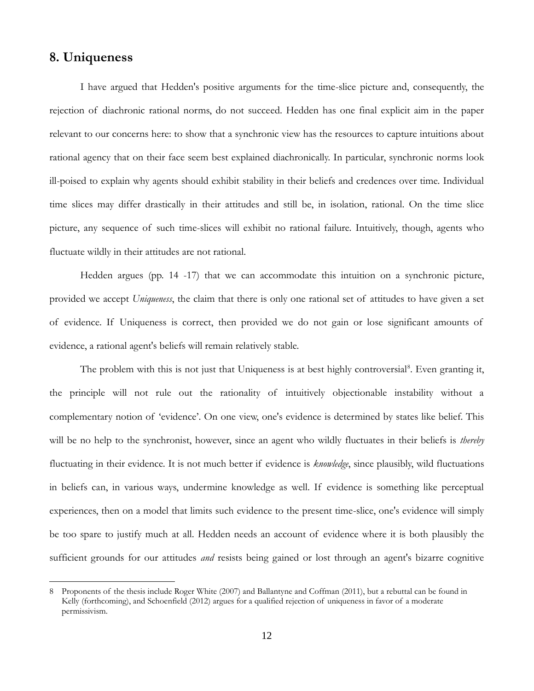### **8. Uniqueness**

 $\overline{a}$ 

I have argued that Hedden's positive arguments for the time-slice picture and, consequently, the rejection of diachronic rational norms, do not succeed. Hedden has one final explicit aim in the paper relevant to our concerns here: to show that a synchronic view has the resources to capture intuitions about rational agency that on their face seem best explained diachronically. In particular, synchronic norms look ill-poised to explain why agents should exhibit stability in their beliefs and credences over time. Individual time slices may differ drastically in their attitudes and still be, in isolation, rational. On the time slice picture, any sequence of such time-slices will exhibit no rational failure. Intuitively, though, agents who fluctuate wildly in their attitudes are not rational.

Hedden argues (pp. 14 -17) that we can accommodate this intuition on a synchronic picture, provided we accept *Uniqueness*, the claim that there is only one rational set of attitudes to have given a set of evidence. If Uniqueness is correct, then provided we do not gain or lose significant amounts of evidence, a rational agent's beliefs will remain relatively stable.

The problem with this is not just that Uniqueness is at best highly controversial<sup>8</sup>. Even granting it, the principle will not rule out the rationality of intuitively objectionable instability without a complementary notion of 'evidence'. On one view, one's evidence is determined by states like belief. This will be no help to the synchronist, however, since an agent who wildly fluctuates in their beliefs is *thereby* fluctuating in their evidence. It is not much better if evidence is *knowledge*, since plausibly, wild fluctuations in beliefs can, in various ways, undermine knowledge as well. If evidence is something like perceptual experiences, then on a model that limits such evidence to the present time-slice, one's evidence will simply be too spare to justify much at all. Hedden needs an account of evidence where it is both plausibly the sufficient grounds for our attitudes *and* resists being gained or lost through an agent's bizarre cognitive

<sup>8</sup> Proponents of the thesis include Roger White (2007) and Ballantyne and Coffman (2011), but a rebuttal can be found in Kelly (forthcoming), and Schoenfield (2012) argues for a qualified rejection of uniqueness in favor of a moderate permissivism.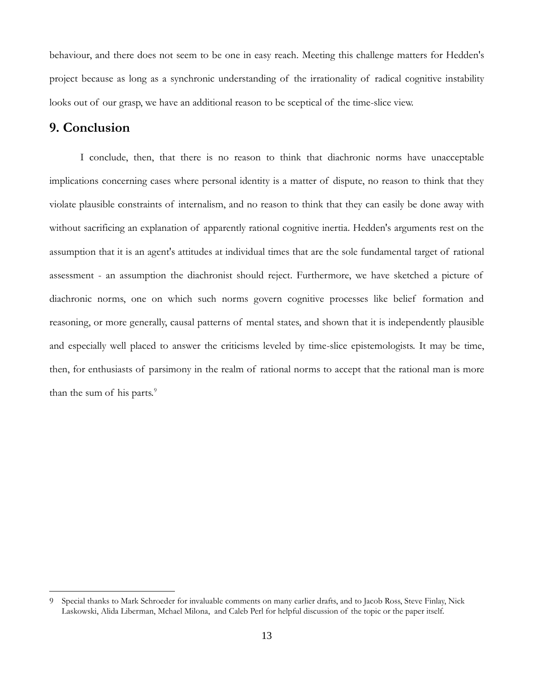behaviour, and there does not seem to be one in easy reach. Meeting this challenge matters for Hedden's project because as long as a synchronic understanding of the irrationality of radical cognitive instability looks out of our grasp, we have an additional reason to be sceptical of the time-slice view.

#### **9. Conclusion**

 $\overline{a}$ 

I conclude, then, that there is no reason to think that diachronic norms have unacceptable implications concerning cases where personal identity is a matter of dispute, no reason to think that they violate plausible constraints of internalism, and no reason to think that they can easily be done away with without sacrificing an explanation of apparently rational cognitive inertia. Hedden's arguments rest on the assumption that it is an agent's attitudes at individual times that are the sole fundamental target of rational assessment - an assumption the diachronist should reject. Furthermore, we have sketched a picture of diachronic norms, one on which such norms govern cognitive processes like belief formation and reasoning, or more generally, causal patterns of mental states, and shown that it is independently plausible and especially well placed to answer the criticisms leveled by time-slice epistemologists. It may be time, then, for enthusiasts of parsimony in the realm of rational norms to accept that the rational man is more than the sum of his parts. $9$ 

<sup>9</sup> Special thanks to Mark Schroeder for invaluable comments on many earlier drafts, and to Jacob Ross, Steve Finlay, Nick Laskowski, Alida Liberman, Mchael Milona, and Caleb Perl for helpful discussion of the topic or the paper itself.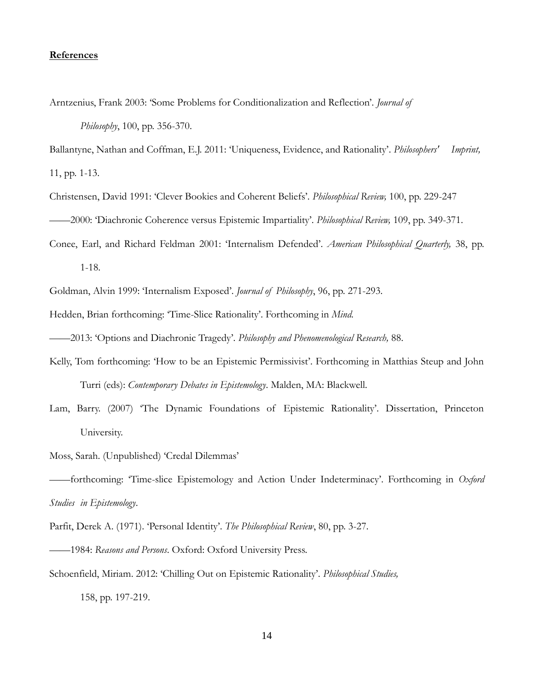#### **References**

Arntzenius, Frank 2003: 'Some Problems for Conditionalization and Reflection'. *Journal of Philosophy*, 100, pp. 356-370.

Ballantyne, Nathan and Coffman, E.J. 2011: 'Uniqueness, Evidence, and Rationality'. *Philosophers' Imprint,* 11, pp. 1-13.

Christensen, David 1991: 'Clever Bookies and Coherent Beliefs'. *Philosophical Review,* 100, pp. 229-247

——2000: 'Diachronic Coherence versus Epistemic Impartiality'. *Philosophical Review,* 109, pp. 349-371.

Conee, Earl, and Richard Feldman 2001: 'Internalism Defended'. *American Philosophical Quarterly,* 38, pp. 1-18.

Goldman, Alvin 1999: 'Internalism Exposed'. *Journal of Philosophy*, 96, pp. 271-293.

Hedden, Brian forthcoming: 'Time-Slice Rationality'. Forthcoming in *Mind.*

——2013: 'Options and Diachronic Tragedy'. *Philosophy and Phenomenological Research,* 88.

- Kelly, Tom forthcoming: 'How to be an Epistemic Permissivist'. Forthcoming in Matthias Steup and John Turri (eds): *Contemporary Debates in Epistemology*. Malden, MA: Blackwell.
- Lam, Barry. (2007) 'The Dynamic Foundations of Epistemic Rationality'. Dissertation, Princeton University.
- Moss, Sarah. (Unpublished) 'Credal Dilemmas'

——forthcoming: 'Time-slice Epistemology and Action Under Indeterminacy'. Forthcoming in *Oxford Studies in Epistemology*.

Parfit, Derek A. (1971). 'Personal Identity'. *The Philosophical Review*, 80, pp. 3-27.

- ——1984: *Reasons and Persons*. Oxford: Oxford University Press.
- Schoenfield, Miriam. 2012: 'Chilling Out on Epistemic Rationality'. *Philosophical Studies,*

158, pp. 197-219.